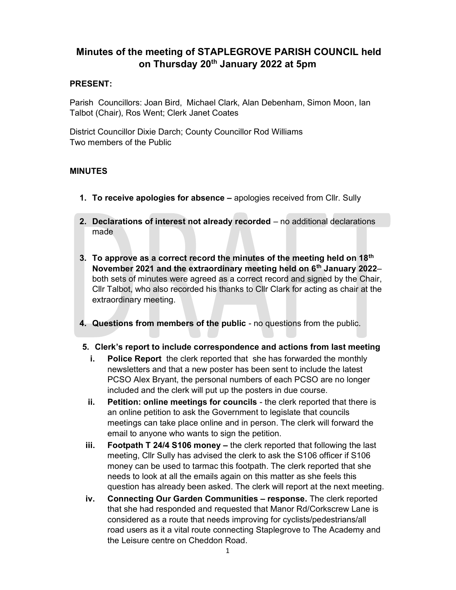# Minutes of the meeting of STAPLEGROVE PARISH COUNCIL held on Thursday 20<sup>th</sup> January 2022 at 5pm

### PRESENT:

Parish Councillors: Joan Bird, Michael Clark, Alan Debenham, Simon Moon, Ian Talbot (Chair), Ros Went; Clerk Janet Coates

District Councillor Dixie Darch; County Councillor Rod Williams Two members of the Public

## MINUTES

- 1. To receive apologies for absence apologies received from Cllr. Sully
- 2. Declarations of interest not already recorded no additional declarations made
- 3. To approve as a correct record the minutes of the meeting held on 18<sup>th</sup> November 2021 and the extraordinary meeting held on 6<sup>th</sup> January 2022– both sets of minutes were agreed as a correct record and signed by the Chair, Cllr Talbot, who also recorded his thanks to Cllr Clark for acting as chair at the extraordinary meeting.
- 4. Questions from members of the public no questions from the public.
- 5. Clerk's report to include correspondence and actions from last meeting
	- i. Police Report the clerk reported that she has forwarded the monthly newsletters and that a new poster has been sent to include the latest PCSO Alex Bryant, the personal numbers of each PCSO are no longer included and the clerk will put up the posters in due course.
	- ii. Petition: online meetings for councils the clerk reported that there is an online petition to ask the Government to legislate that councils meetings can take place online and in person. The clerk will forward the email to anyone who wants to sign the petition.
- iii. Footpath T 24/4 S106 money the clerk reported that following the last meeting, Cllr Sully has advised the clerk to ask the S106 officer if S106 money can be used to tarmac this footpath. The clerk reported that she needs to look at all the emails again on this matter as she feels this question has already been asked. The clerk will report at the next meeting.
- iv. Connecting Our Garden Communities response. The clerk reported that she had responded and requested that Manor Rd/Corkscrew Lane is considered as a route that needs improving for cyclists/pedestrians/all road users as it a vital route connecting Staplegrove to The Academy and the Leisure centre on Cheddon Road.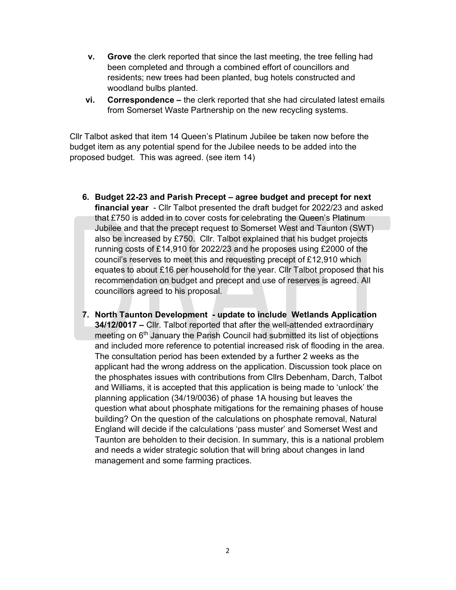- v. Grove the clerk reported that since the last meeting, the tree felling had been completed and through a combined effort of councillors and residents; new trees had been planted, bug hotels constructed and woodland bulbs planted.
- vi. Correspondence the clerk reported that she had circulated latest emails from Somerset Waste Partnership on the new recycling systems.

Cllr Talbot asked that item 14 Queen's Platinum Jubilee be taken now before the budget item as any potential spend for the Jubilee needs to be added into the proposed budget. This was agreed. (see item 14)

- 6. Budget 22-23 and Parish Precept agree budget and precept for next financial year - Cllr Talbot presented the draft budget for 2022/23 and asked that £750 is added in to cover costs for celebrating the Queen's Platinum Jubilee and that the precept request to Somerset West and Taunton (SWT) also be increased by £750. Cllr. Talbot explained that his budget projects running costs of £14,910 for 2022/23 and he proposes using £2000 of the council's reserves to meet this and requesting precept of £12,910 which equates to about £16 per household for the year. Cllr Talbot proposed that his recommendation on budget and precept and use of reserves is agreed. All councillors agreed to his proposal.
- 7. North Taunton Development update to include Wetlands Application 34/12/0017 – Cllr. Talbot reported that after the well-attended extraordinary meeting on 6<sup>th</sup> January the Parish Council had submitted its list of objections and included more reference to potential increased risk of flooding in the area. The consultation period has been extended by a further 2 weeks as the applicant had the wrong address on the application. Discussion took place on the phosphates issues with contributions from Cllrs Debenham, Darch, Talbot and Williams, it is accepted that this application is being made to 'unlock' the planning application (34/19/0036) of phase 1A housing but leaves the question what about phosphate mitigations for the remaining phases of house building? On the question of the calculations on phosphate removal, Natural England will decide if the calculations 'pass muster' and Somerset West and Taunton are beholden to their decision. In summary, this is a national problem and needs a wider strategic solution that will bring about changes in land management and some farming practices.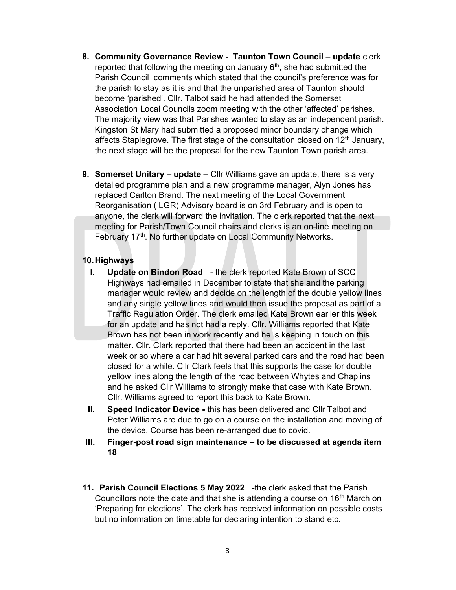- 8. Community Governance Review Taunton Town Council update clerk reported that following the meeting on January  $6<sup>th</sup>$ , she had submitted the Parish Council comments which stated that the council's preference was for the parish to stay as it is and that the unparished area of Taunton should become 'parished'. Cllr. Talbot said he had attended the Somerset Association Local Councils zoom meeting with the other 'affected' parishes. The majority view was that Parishes wanted to stay as an independent parish. Kingston St Mary had submitted a proposed minor boundary change which affects Staplegrove. The first stage of the consultation closed on  $12<sup>th</sup>$  January, the next stage will be the proposal for the new Taunton Town parish area.
- 9. Somerset Unitary update Cllr Williams gave an update, there is a very detailed programme plan and a new programme manager, Alyn Jones has replaced Carlton Brand. The next meeting of the Local Government Reorganisation ( LGR) Advisory board is on 3rd February and is open to anyone, the clerk will forward the invitation. The clerk reported that the next meeting for Parish/Town Council chairs and clerks is an on-line meeting on February 17<sup>th</sup>. No further update on Local Community Networks.

#### 10. Highways

- I. Update on Bindon Road the clerk reported Kate Brown of SCC Highways had emailed in December to state that she and the parking manager would review and decide on the length of the double yellow lines and any single yellow lines and would then issue the proposal as part of a Traffic Regulation Order. The clerk emailed Kate Brown earlier this week for an update and has not had a reply. Cllr. Williams reported that Kate Brown has not been in work recently and he is keeping in touch on this matter. Cllr. Clark reported that there had been an accident in the last week or so where a car had hit several parked cars and the road had been closed for a while. Cllr Clark feels that this supports the case for double yellow lines along the length of the road between Whytes and Chaplins and he asked Cllr Williams to strongly make that case with Kate Brown. Cllr. Williams agreed to report this back to Kate Brown.
- II. Speed Indicator Device this has been delivered and Cllr Talbot and Peter Williams are due to go on a course on the installation and moving of the device. Course has been re-arranged due to covid.
- III. Finger-post road sign maintenance to be discussed at agenda item 18
- 11. Parish Council Elections 5 May 2022 the clerk asked that the Parish Councillors note the date and that she is attending a course on 16<sup>th</sup> March on 'Preparing for elections'. The clerk has received information on possible costs but no information on timetable for declaring intention to stand etc.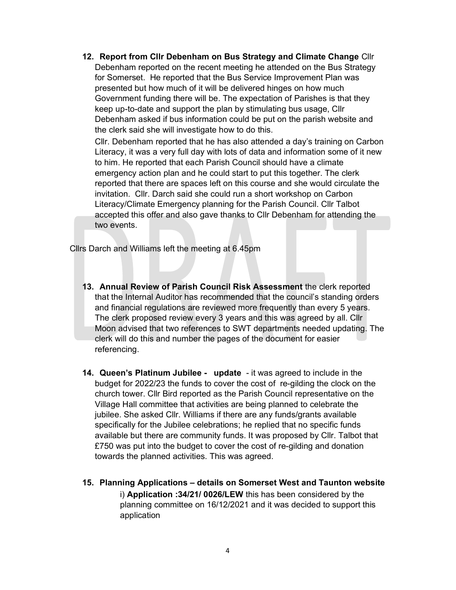12. Report from Cllr Debenham on Bus Strategy and Climate Change Cllr Debenham reported on the recent meeting he attended on the Bus Strategy for Somerset. He reported that the Bus Service Improvement Plan was presented but how much of it will be delivered hinges on how much Government funding there will be. The expectation of Parishes is that they keep up-to-date and support the plan by stimulating bus usage, Cllr Debenham asked if bus information could be put on the parish website and the clerk said she will investigate how to do this.

Cllr. Debenham reported that he has also attended a day's training on Carbon Literacy, it was a very full day with lots of data and information some of it new to him. He reported that each Parish Council should have a climate emergency action plan and he could start to put this together. The clerk reported that there are spaces left on this course and she would circulate the invitation. Cllr. Darch said she could run a short workshop on Carbon Literacy/Climate Emergency planning for the Parish Council. Cllr Talbot accepted this offer and also gave thanks to Cllr Debenham for attending the two events.

Cllrs Darch and Williams left the meeting at 6.45pm

- 13. Annual Review of Parish Council Risk Assessment the clerk reported that the Internal Auditor has recommended that the council's standing orders and financial regulations are reviewed more frequently than every 5 years. The clerk proposed review every 3 years and this was agreed by all. Cllr Moon advised that two references to SWT departments needed updating. The clerk will do this and number the pages of the document for easier referencing.
- 14. Queen's Platinum Jubilee update it was agreed to include in the budget for 2022/23 the funds to cover the cost of re-gilding the clock on the church tower. Cllr Bird reported as the Parish Council representative on the Village Hall committee that activities are being planned to celebrate the jubilee. She asked Cllr. Williams if there are any funds/grants available specifically for the Jubilee celebrations; he replied that no specific funds available but there are community funds. It was proposed by Cllr. Talbot that £750 was put into the budget to cover the cost of re-gilding and donation towards the planned activities. This was agreed.
- 15. Planning Applications details on Somerset West and Taunton website i) Application :34/21/ 0026/LEW this has been considered by the planning committee on 16/12/2021 and it was decided to support this application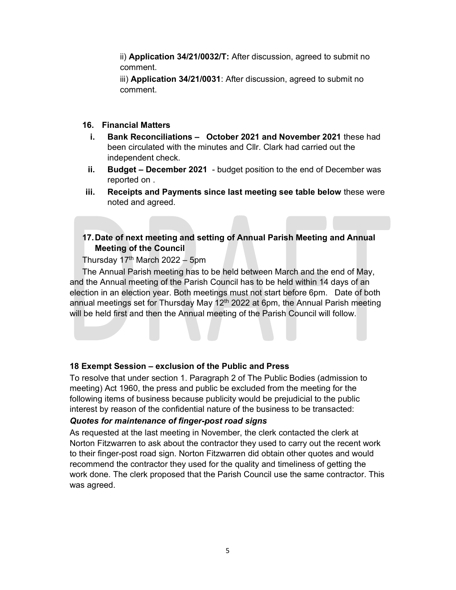ii) Application 34/21/0032/T: After discussion, agreed to submit no comment.

iii) **Application 34/21/0031**: After discussion, agreed to submit no comment.

#### 16. Financial Matters

- i. Bank Reconciliations October 2021 and November 2021 these had been circulated with the minutes and Cllr. Clark had carried out the independent check.
- ii. Budget December 2021 budget position to the end of December was reported on .
- iii. Receipts and Payments since last meeting see table below these were noted and agreed.

### 17. Date of next meeting and setting of Annual Parish Meeting and Annual Meeting of the Council

Thursday  $17<sup>th</sup>$  March 2022 – 5pm

The Annual Parish meeting has to be held between March and the end of May, and the Annual meeting of the Parish Council has to be held within 14 days of an election in an election year. Both meetings must not start before 6pm. Date of both annual meetings set for Thursday May  $12<sup>th</sup>$  2022 at 6pm, the Annual Parish meeting will be held first and then the Annual meeting of the Parish Council will follow.

#### 18 Exempt Session – exclusion of the Public and Press

To resolve that under section 1. Paragraph 2 of The Public Bodies (admission to meeting) Act 1960, the press and public be excluded from the meeting for the following items of business because publicity would be prejudicial to the public interest by reason of the confidential nature of the business to be transacted:

#### Quotes for maintenance of finger-post road signs

As requested at the last meeting in November, the clerk contacted the clerk at Norton Fitzwarren to ask about the contractor they used to carry out the recent work to their finger-post road sign. Norton Fitzwarren did obtain other quotes and would recommend the contractor they used for the quality and timeliness of getting the work done. The clerk proposed that the Parish Council use the same contractor. This was agreed.